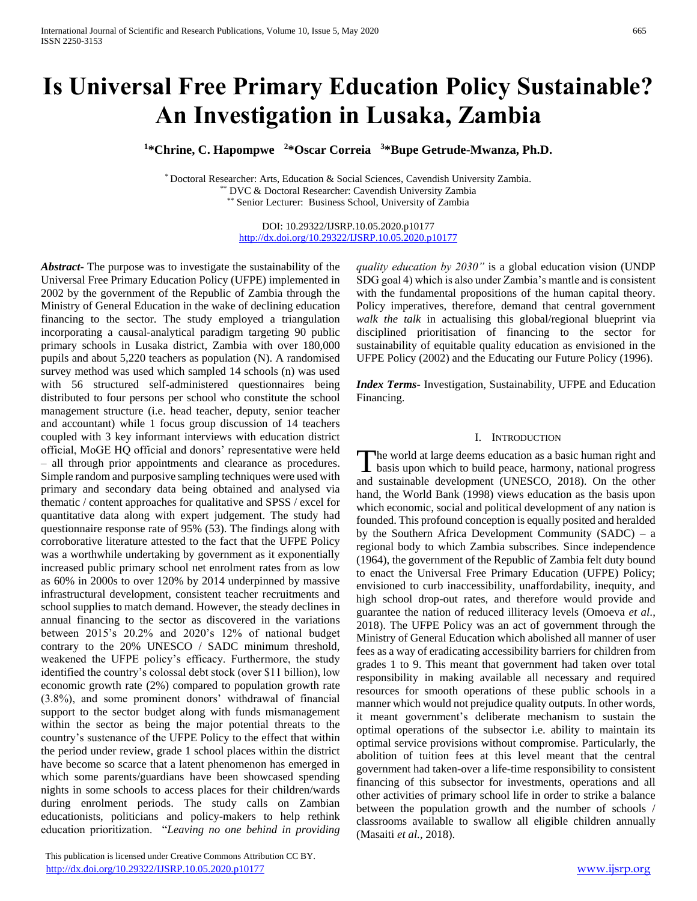# **Is Universal Free Primary Education Policy Sustainable? An Investigation in Lusaka, Zambia**

**<sup>1</sup>\*Chrine, C. Hapompwe <sup>2</sup>\*Oscar Correia <sup>3</sup>\*Bupe Getrude-Mwanza, Ph.D.**

\* Doctoral Researcher: Arts, Education & Social Sciences, Cavendish University Zambia. \*\* DVC & Doctoral Researcher: Cavendish University Zambia Senior Lecturer: Business School, University of Zambia

> DOI: 10.29322/IJSRP.10.05.2020.p10177 <http://dx.doi.org/10.29322/IJSRP.10.05.2020.p10177>

*Abstract***-** The purpose was to investigate the sustainability of the Universal Free Primary Education Policy (UFPE) implemented in 2002 by the government of the Republic of Zambia through the Ministry of General Education in the wake of declining education financing to the sector. The study employed a triangulation incorporating a causal-analytical paradigm targeting 90 public primary schools in Lusaka district, Zambia with over 180,000 pupils and about 5,220 teachers as population (N). A randomised survey method was used which sampled 14 schools (n) was used with 56 structured self-administered questionnaires being distributed to four persons per school who constitute the school management structure (i.e. head teacher, deputy, senior teacher and accountant) while 1 focus group discussion of 14 teachers coupled with 3 key informant interviews with education district official, MoGE HQ official and donors' representative were held – all through prior appointments and clearance as procedures. Simple random and purposive sampling techniques were used with primary and secondary data being obtained and analysed via thematic / content approaches for qualitative and SPSS / excel for quantitative data along with expert judgement. The study had questionnaire response rate of 95% (53). The findings along with corroborative literature attested to the fact that the UFPE Policy was a worthwhile undertaking by government as it exponentially increased public primary school net enrolment rates from as low as 60% in 2000s to over 120% by 2014 underpinned by massive infrastructural development, consistent teacher recruitments and school supplies to match demand. However, the steady declines in annual financing to the sector as discovered in the variations between 2015's 20.2% and 2020's 12% of national budget contrary to the 20% UNESCO / SADC minimum threshold, weakened the UFPE policy's efficacy. Furthermore, the study identified the country's colossal debt stock (over \$11 billion), low economic growth rate (2%) compared to population growth rate (3.8%), and some prominent donors' withdrawal of financial support to the sector budget along with funds mismanagement within the sector as being the major potential threats to the country's sustenance of the UFPE Policy to the effect that within the period under review, grade 1 school places within the district have become so scarce that a latent phenomenon has emerged in which some parents/guardians have been showcased spending nights in some schools to access places for their children/wards during enrolment periods. The study calls on Zambian educationists, politicians and policy-makers to help rethink education prioritization. "*Leaving no one behind in providing* 

 This publication is licensed under Creative Commons Attribution CC BY. <http://dx.doi.org/10.29322/IJSRP.10.05.2020.p10177> [www.ijsrp.org](http://ijsrp.org/)

*quality education by 2030"* is a global education vision (UNDP SDG goal 4) which is also under Zambia's mantle and is consistent with the fundamental propositions of the human capital theory. Policy imperatives, therefore, demand that central government *walk the talk* in actualising this global/regional blueprint via disciplined prioritisation of financing to the sector for sustainability of equitable quality education as envisioned in the UFPE Policy (2002) and the Educating our Future Policy (1996).

*Index Terms*- Investigation, Sustainability, UFPE and Education Financing.

#### I. INTRODUCTION

The world at large deems education as a basic human right and basis upon which to build peace, harmony, national progress  $\perp$  basis upon which to build peace, harmony, national progress and sustainable development (UNESCO, 2018). On the other hand, the World Bank (1998) views education as the basis upon which economic, social and political development of any nation is founded. This profound conception is equally posited and heralded by the Southern Africa Development Community (SADC) – a regional body to which Zambia subscribes. Since independence (1964), the government of the Republic of Zambia felt duty bound to enact the Universal Free Primary Education (UFPE) Policy; envisioned to curb inaccessibility, unaffordability, inequity, and high school drop-out rates, and therefore would provide and guarantee the nation of reduced illiteracy levels (Omoeva *et al*., 2018). The UFPE Policy was an act of government through the Ministry of General Education which abolished all manner of user fees as a way of eradicating accessibility barriers for children from grades 1 to 9. This meant that government had taken over total responsibility in making available all necessary and required resources for smooth operations of these public schools in a manner which would not prejudice quality outputs. In other words, it meant government's deliberate mechanism to sustain the optimal operations of the subsector i.e. ability to maintain its optimal service provisions without compromise. Particularly, the abolition of tuition fees at this level meant that the central government had taken-over a life-time responsibility to consistent financing of this subsector for investments, operations and all other activities of primary school life in order to strike a balance between the population growth and the number of schools / classrooms available to swallow all eligible children annually (Masaiti *et al.,* 2018).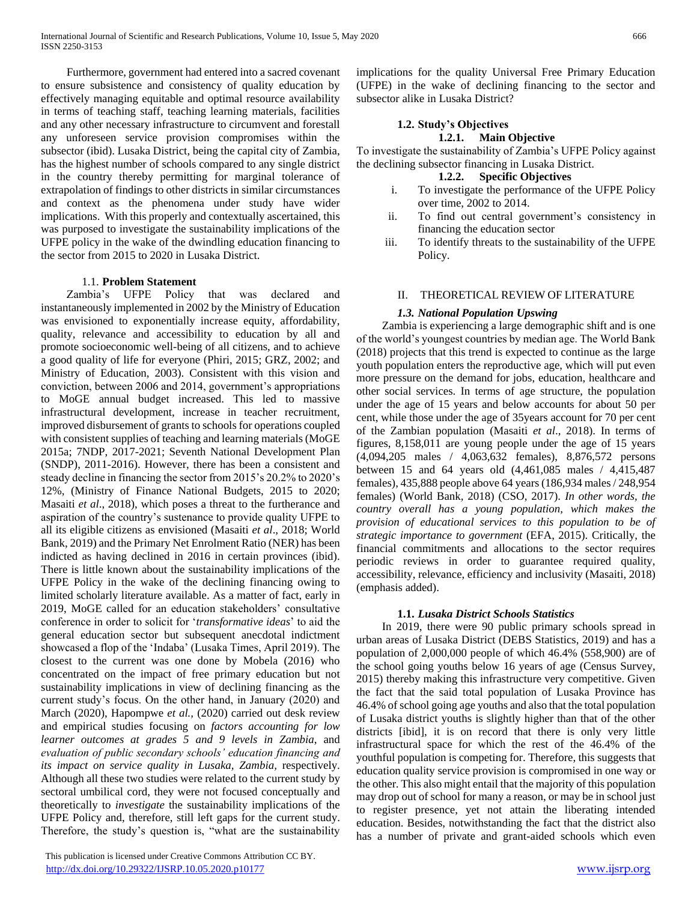Furthermore, government had entered into a sacred covenant to ensure subsistence and consistency of quality education by effectively managing equitable and optimal resource availability in terms of teaching staff, teaching learning materials, facilities and any other necessary infrastructure to circumvent and forestall any unforeseen service provision compromises within the subsector (ibid). Lusaka District, being the capital city of Zambia, has the highest number of schools compared to any single district in the country thereby permitting for marginal tolerance of extrapolation of findings to other districts in similar circumstances and context as the phenomena under study have wider implications. With this properly and contextually ascertained, this was purposed to investigate the sustainability implications of the UFPE policy in the wake of the dwindling education financing to the sector from 2015 to 2020 in Lusaka District.

#### 1.1. **Problem Statement**

 Zambia's UFPE Policy that was declared and instantaneously implemented in 2002 by the Ministry of Education was envisioned to exponentially increase equity, affordability, quality, relevance and accessibility to education by all and promote socioeconomic well-being of all citizens, and to achieve a good quality of life for everyone (Phiri, 2015; GRZ, 2002; and Ministry of Education, 2003). Consistent with this vision and conviction, between 2006 and 2014, government's appropriations to MoGE annual budget increased. This led to massive infrastructural development, increase in teacher recruitment, improved disbursement of grants to schools for operations coupled with consistent supplies of teaching and learning materials (MoGE 2015a; 7NDP, 2017-2021; Seventh National Development Plan (SNDP), 2011-2016). However, there has been a consistent and steady decline in financing the sector from 2015's 20.2% to 2020's 12%, (Ministry of Finance National Budgets, 2015 to 2020; Masaiti *et al*., 2018), which poses a threat to the furtherance and aspiration of the country's sustenance to provide quality UFPE to all its eligible citizens as envisioned (Masaiti *et al*., 2018; World Bank, 2019) and the Primary Net Enrolment Ratio (NER) has been indicted as having declined in 2016 in certain provinces (ibid). There is little known about the sustainability implications of the UFPE Policy in the wake of the declining financing owing to limited scholarly literature available. As a matter of fact, early in 2019, MoGE called for an education stakeholders' consultative conference in order to solicit for '*transformative ideas*' to aid the general education sector but subsequent anecdotal indictment showcased a flop of the 'Indaba' (Lusaka Times, April 2019). The closest to the current was one done by Mobela (2016) who concentrated on the impact of free primary education but not sustainability implications in view of declining financing as the current study's focus. On the other hand, in January (2020) and March (2020), Hapompwe *et al.,* (2020) carried out desk review and empirical studies focusing on *factors accounting for low learner outcomes at grades 5 and 9 levels in Zambia*, and *evaluation of public secondary schools' education financing and its impact on service quality in Lusaka, Zambia,* respectively. Although all these two studies were related to the current study by sectoral umbilical cord, they were not focused conceptually and theoretically to *investigate* the sustainability implications of the UFPE Policy and, therefore, still left gaps for the current study. Therefore, the study's question is, "what are the sustainability

 This publication is licensed under Creative Commons Attribution CC BY. <http://dx.doi.org/10.29322/IJSRP.10.05.2020.p10177> [www.ijsrp.org](http://ijsrp.org/)

implications for the quality Universal Free Primary Education (UFPE) in the wake of declining financing to the sector and subsector alike in Lusaka District?

# **1.2. Study's Objectives**

# **1.2.1. Main Objective**

To investigate the sustainability of Zambia's UFPE Policy against the declining subsector financing in Lusaka District.

## **1.2.2. Specific Objectives**

- i. To investigate the performance of the UFPE Policy over time, 2002 to 2014.
- ii. To find out central government's consistency in financing the education sector
- iii. To identify threats to the sustainability of the UFPE Policy.

# II. THEORETICAL REVIEW OF LITERATURE

# *1.3. National Population Upswing*

 Zambia is experiencing a large demographic shift and is one of the world's youngest countries by median age. The World Bank (2018) projects that this trend is expected to continue as the large youth population enters the reproductive age, which will put even more pressure on the demand for jobs, education, healthcare and other social services. In terms of age structure, the population under the age of 15 years and below accounts for about 50 per cent, while those under the age of 35years account for 70 per cent of the Zambian population (Masaiti *et al*., 2018). In terms of figures, 8,158,011 are young people under the age of 15 years (4,094,205 males / 4,063,632 females), 8,876,572 persons between 15 and 64 years old (4,461,085 males / 4,415,487 females), 435,888 people above 64 years (186,934 males / 248,954 females) (World Bank, 2018) (CSO, 2017). *In other words, the country overall has a young population, which makes the provision of educational services to this population to be of strategic importance to government* (EFA, 2015). Critically, the financial commitments and allocations to the sector requires periodic reviews in order to guarantee required quality, accessibility, relevance, efficiency and inclusivity (Masaiti, 2018) (emphasis added).

# **1.1.** *Lusaka District Schools Statistics*

 In 2019, there were 90 public primary schools spread in urban areas of Lusaka District (DEBS Statistics, 2019) and has a population of 2,000,000 people of which 46.4% (558,900) are of the school going youths below 16 years of age (Census Survey, 2015) thereby making this infrastructure very competitive. Given the fact that the said total population of Lusaka Province has 46.4% of school going age youths and also that the total population of Lusaka district youths is slightly higher than that of the other districts [ibid], it is on record that there is only very little infrastructural space for which the rest of the 46.4% of the youthful population is competing for. Therefore, this suggests that education quality service provision is compromised in one way or the other. This also might entail that the majority of this population may drop out of school for many a reason, or may be in school just to register presence, yet not attain the liberating intended education. Besides, notwithstanding the fact that the district also has a number of private and grant-aided schools which even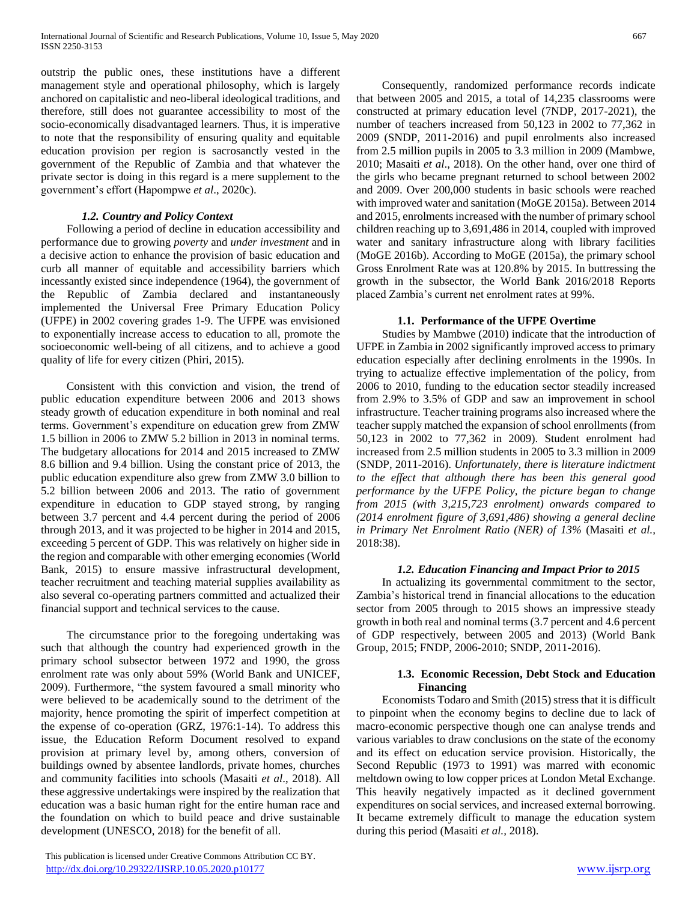outstrip the public ones, these institutions have a different management style and operational philosophy, which is largely anchored on capitalistic and neo-liberal ideological traditions, and therefore, still does not guarantee accessibility to most of the socio-economically disadvantaged learners. Thus, it is imperative to note that the responsibility of ensuring quality and equitable education provision per region is sacrosanctly vested in the government of the Republic of Zambia and that whatever the private sector is doing in this regard is a mere supplement to the government's effort (Hapompwe *et al*., 2020c).

# *1.2. Country and Policy Context*

 Following a period of decline in education accessibility and performance due to growing *poverty* and *under investment* and in a decisive action to enhance the provision of basic education and curb all manner of equitable and accessibility barriers which incessantly existed since independence (1964), the government of the Republic of Zambia declared and instantaneously implemented the Universal Free Primary Education Policy (UFPE) in 2002 covering grades 1-9. The UFPE was envisioned to exponentially increase access to education to all, promote the socioeconomic well-being of all citizens, and to achieve a good quality of life for every citizen (Phiri, 2015).

 Consistent with this conviction and vision, the trend of public education expenditure between 2006 and 2013 shows steady growth of education expenditure in both nominal and real terms. Government's expenditure on education grew from ZMW 1.5 billion in 2006 to ZMW 5.2 billion in 2013 in nominal terms. The budgetary allocations for 2014 and 2015 increased to ZMW 8.6 billion and 9.4 billion. Using the constant price of 2013, the public education expenditure also grew from ZMW 3.0 billion to 5.2 billion between 2006 and 2013. The ratio of government expenditure in education to GDP stayed strong, by ranging between 3.7 percent and 4.4 percent during the period of 2006 through 2013, and it was projected to be higher in 2014 and 2015, exceeding 5 percent of GDP. This was relatively on higher side in the region and comparable with other emerging economies (World Bank, 2015) to ensure massive infrastructural development, teacher recruitment and teaching material supplies availability as also several co-operating partners committed and actualized their financial support and technical services to the cause.

 The circumstance prior to the foregoing undertaking was such that although the country had experienced growth in the primary school subsector between 1972 and 1990, the gross enrolment rate was only about 59% (World Bank and UNICEF, 2009). Furthermore, "the system favoured a small minority who were believed to be academically sound to the detriment of the majority, hence promoting the spirit of imperfect competition at the expense of co-operation (GRZ, 1976:1-14). To address this issue, the Education Reform Document resolved to expand provision at primary level by, among others, conversion of buildings owned by absentee landlords, private homes, churches and community facilities into schools (Masaiti *et al*., 2018). All these aggressive undertakings were inspired by the realization that education was a basic human right for the entire human race and the foundation on which to build peace and drive sustainable development (UNESCO, 2018) for the benefit of all.

 Consequently, randomized performance records indicate that between 2005 and 2015, a total of 14,235 classrooms were constructed at primary education level (7NDP, 2017-2021), the number of teachers increased from 50,123 in 2002 to 77,362 in 2009 (SNDP, 2011-2016) and pupil enrolments also increased from 2.5 million pupils in 2005 to 3.3 million in 2009 (Mambwe, 2010; Masaiti *et al*., 2018). On the other hand, over one third of the girls who became pregnant returned to school between 2002 and 2009. Over 200,000 students in basic schools were reached with improved water and sanitation (MoGE 2015a). Between 2014 and 2015, enrolments increased with the number of primary school children reaching up to 3,691,486 in 2014, coupled with improved water and sanitary infrastructure along with library facilities (MoGE 2016b). According to MoGE (2015a), the primary school Gross Enrolment Rate was at 120.8% by 2015. In buttressing the growth in the subsector, the World Bank 2016/2018 Reports placed Zambia's current net enrolment rates at 99%.

# **1.1. Performance of the UFPE Overtime**

 Studies by Mambwe (2010) indicate that the introduction of UFPE in Zambia in 2002 significantly improved access to primary education especially after declining enrolments in the 1990s. In trying to actualize effective implementation of the policy, from 2006 to 2010, funding to the education sector steadily increased from 2.9% to 3.5% of GDP and saw an improvement in school infrastructure. Teacher training programs also increased where the teacher supply matched the expansion of school enrollments (from 50,123 in 2002 to 77,362 in 2009). Student enrolment had increased from 2.5 million students in 2005 to 3.3 million in 2009 (SNDP, 2011-2016). *Unfortunately, there is literature indictment to the effect that although there has been this general good performance by the UFPE Policy, the picture began to change from 2015 (with 3,215,723 enrolment) onwards compared to (2014 enrolment figure of 3,691,486) showing a general decline in Primary Net Enrolment Ratio (NER) of 13%* (Masaiti *et al.,* 2018:38).

#### *1.2. Education Financing and Impact Prior to 2015*

 In actualizing its governmental commitment to the sector, Zambia's historical trend in financial allocations to the education sector from 2005 through to 2015 shows an impressive steady growth in both real and nominal terms (3.7 percent and 4.6 percent of GDP respectively, between 2005 and 2013) (World Bank Group, 2015; FNDP, 2006-2010; SNDP, 2011-2016).

#### **1.3. Economic Recession, Debt Stock and Education Financing**

 Economists Todaro and Smith (2015) stress that it is difficult to pinpoint when the economy begins to decline due to lack of macro-economic perspective though one can analyse trends and various variables to draw conclusions on the state of the economy and its effect on education service provision. Historically, the Second Republic (1973 to 1991) was marred with economic meltdown owing to low copper prices at London Metal Exchange. This heavily negatively impacted as it declined government expenditures on social services, and increased external borrowing. It became extremely difficult to manage the education system during this period (Masaiti *et al.,* 2018).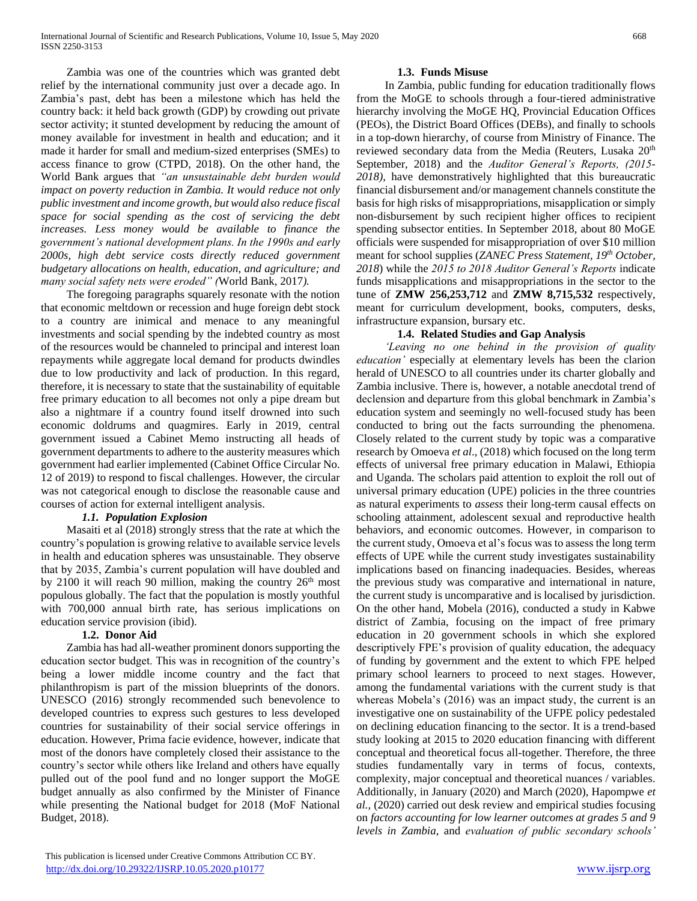Zambia was one of the countries which was granted debt relief by the international community just over a decade ago. In Zambia's past, debt has been a milestone which has held the country back: it held back growth (GDP) by crowding out private sector activity; it stunted development by reducing the amount of money available for investment in health and education; and it made it harder for small and medium-sized enterprises (SMEs) to access finance to grow (CTPD, 2018). On the other hand, the World Bank argues that *"an unsustainable debt burden would impact on poverty reduction in Zambia. It would reduce not only public investment and income growth, but would also reduce fiscal space for social spending as the cost of servicing the debt increases. Less money would be available to finance the government's national development plans. In the 1990s and early 2000s, high debt service costs directly reduced government budgetary allocations on health, education, and agriculture; and many social safety nets were eroded" (*World Bank, 2017*).*

 The foregoing paragraphs squarely resonate with the notion that economic meltdown or recession and huge foreign debt stock to a country are inimical and menace to any meaningful investments and social spending by the indebted country as most of the resources would be channeled to principal and interest loan repayments while aggregate local demand for products dwindles due to low productivity and lack of production. In this regard, therefore, it is necessary to state that the sustainability of equitable free primary education to all becomes not only a pipe dream but also a nightmare if a country found itself drowned into such economic doldrums and quagmires. Early in 2019, central government issued a Cabinet Memo instructing all heads of government departments to adhere to the austerity measures which government had earlier implemented (Cabinet Office Circular No. 12 of 2019) to respond to fiscal challenges. However, the circular was not categorical enough to disclose the reasonable cause and courses of action for external intelligent analysis.

# *1.1. Population Explosion*

 Masaiti et al (2018) strongly stress that the rate at which the country's population is growing relative to available service levels in health and education spheres was unsustainable. They observe that by 2035, Zambia's current population will have doubled and by 2100 it will reach 90 million, making the country  $26<sup>th</sup>$  most populous globally. The fact that the population is mostly youthful with 700,000 annual birth rate, has serious implications on education service provision (ibid).

# **1.2. Donor Aid**

 Zambia has had all-weather prominent donors supporting the education sector budget. This was in recognition of the country's being a lower middle income country and the fact that philanthropism is part of the mission blueprints of the donors. UNESCO (2016) strongly recommended such benevolence to developed countries to express such gestures to less developed countries for sustainability of their social service offerings in education. However, Prima facie evidence, however, indicate that most of the donors have completely closed their assistance to the country's sector while others like Ireland and others have equally pulled out of the pool fund and no longer support the MoGE budget annually as also confirmed by the Minister of Finance while presenting the National budget for 2018 (MoF National Budget, 2018).

# **1.3. Funds Misuse**

 In Zambia, public funding for education traditionally flows from the MoGE to schools through a four-tiered administrative hierarchy involving the MoGE HQ, Provincial Education Offices (PEOs), the District Board Offices (DEBs), and finally to schools in a top-down hierarchy, of course from Ministry of Finance. The reviewed secondary data from the Media (Reuters, Lusaka 20<sup>th</sup> September, 2018) and the *Auditor General's Reports, (2015- 2018),* have demonstratively highlighted that this bureaucratic financial disbursement and/or management channels constitute the basis for high risks of misappropriations, misapplication or simply non-disbursement by such recipient higher offices to recipient spending subsector entities. In September 2018, about 80 MoGE officials were suspended for misappropriation of over \$10 million meant for school supplies (*ZANEC Press Statement, 19th October, 2018*) while the *2015 to 2018 Auditor General's Reports* indicate funds misapplications and misappropriations in the sector to the tune of **ZMW 256,253,712** and **ZMW 8,715,532** respectively, meant for curriculum development, books, computers, desks, infrastructure expansion, bursary etc.

# **1.4. Related Studies and Gap Analysis**

 *'Leaving no one behind in the provision of quality education'* especially at elementary levels has been the clarion herald of UNESCO to all countries under its charter globally and Zambia inclusive. There is, however, a notable anecdotal trend of declension and departure from this global benchmark in Zambia's education system and seemingly no well-focused study has been conducted to bring out the facts surrounding the phenomena. Closely related to the current study by topic was a comparative research by Omoeva *et al*., (2018) which focused on the long term effects of universal free primary education in Malawi, Ethiopia and Uganda. The scholars paid attention to exploit the roll out of universal primary education (UPE) policies in the three countries as natural experiments to *assess* their long-term causal effects on schooling attainment, adolescent sexual and reproductive health behaviors, and economic outcomes. However, in comparison to the current study, Omoeva et al's focus was to assess the long term effects of UPE while the current study investigates sustainability implications based on financing inadequacies. Besides, whereas the previous study was comparative and international in nature, the current study is uncomparative and is localised by jurisdiction. On the other hand, Mobela (2016), conducted a study in Kabwe district of Zambia, focusing on the impact of free primary education in 20 government schools in which she explored descriptively FPE's provision of quality education, the adequacy of funding by government and the extent to which FPE helped primary school learners to proceed to next stages. However, among the fundamental variations with the current study is that whereas Mobela's (2016) was an impact study, the current is an investigative one on sustainability of the UFPE policy pedestaled on declining education financing to the sector. It is a trend-based study looking at 2015 to 2020 education financing with different conceptual and theoretical focus all-together. Therefore, the three studies fundamentally vary in terms of focus, contexts, complexity, major conceptual and theoretical nuances / variables. Additionally, in January (2020) and March (2020), Hapompwe *et al.,* (2020) carried out desk review and empirical studies focusing on *factors accounting for low learner outcomes at grades 5 and 9 levels in Zambia*, and *evaluation of public secondary schools'*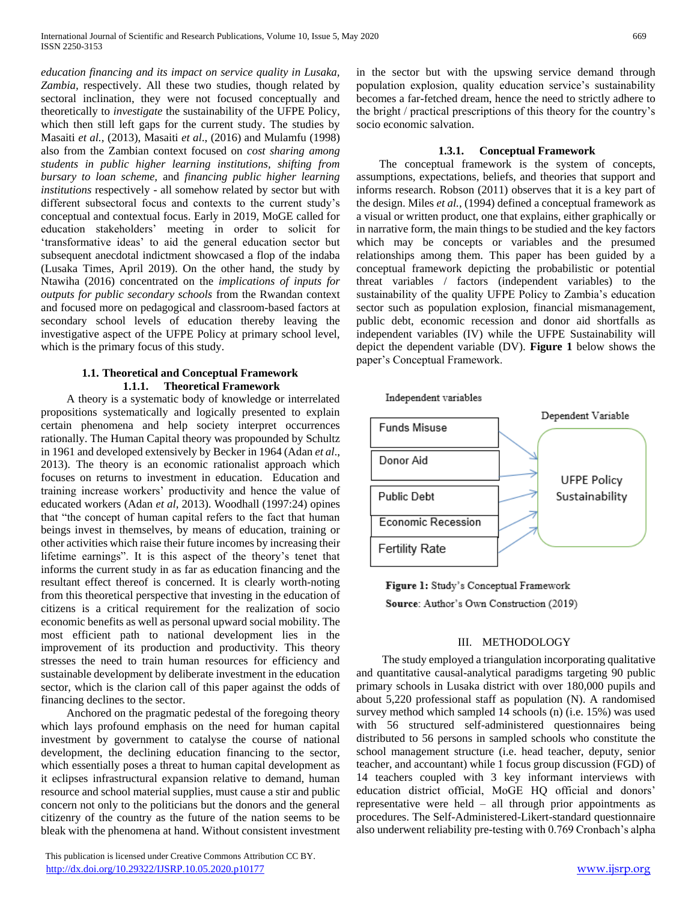*education financing and its impact on service quality in Lusaka, Zambia,* respectively. All these two studies, though related by sectoral inclination, they were not focused conceptually and theoretically to *investigate* the sustainability of the UFPE Policy, which then still left gaps for the current study. The studies by Masaiti *et al.,* (2013), Masaiti *et al*., (2016) and Mulamfu (1998) also from the Zambian context focused on *cost sharing among students in public higher learning institutions, shifting from bursary to loan scheme,* and *financing public higher learning institutions* respectively - all somehow related by sector but with different subsectoral focus and contexts to the current study's conceptual and contextual focus. Early in 2019, MoGE called for education stakeholders' meeting in order to solicit for 'transformative ideas' to aid the general education sector but subsequent anecdotal indictment showcased a flop of the indaba (Lusaka Times, April 2019). On the other hand, the study by Ntawiha (2016) concentrated on the *implications of inputs for outputs for public secondary schools* from the Rwandan context and focused more on pedagogical and classroom-based factors at secondary school levels of education thereby leaving the investigative aspect of the UFPE Policy at primary school level, which is the primary focus of this study.

# **1.1. Theoretical and Conceptual Framework 1.1.1. Theoretical Framework**

 A theory is a systematic body of knowledge or interrelated propositions systematically and logically presented to explain certain phenomena and help society interpret occurrences rationally. The Human Capital theory was propounded by Schultz in 1961 and developed extensively by Becker in 1964 (Adan *et al*., 2013). The theory is an economic rationalist approach which focuses on returns to investment in education. Education and training increase workers' productivity and hence the value of educated workers (Adan *et al*, 2013). Woodhall (1997:24) opines that "the concept of human capital refers to the fact that human beings invest in themselves, by means of education, training or other activities which raise their future incomes by increasing their lifetime earnings". It is this aspect of the theory's tenet that informs the current study in as far as education financing and the resultant effect thereof is concerned. It is clearly worth-noting from this theoretical perspective that investing in the education of citizens is a critical requirement for the realization of socio economic benefits as well as personal upward social mobility. The most efficient path to national development lies in the improvement of its production and productivity. This theory stresses the need to train human resources for efficiency and sustainable development by deliberate investment in the education sector, which is the clarion call of this paper against the odds of financing declines to the sector.

 Anchored on the pragmatic pedestal of the foregoing theory which lays profound emphasis on the need for human capital investment by government to catalyse the course of national development, the declining education financing to the sector, which essentially poses a threat to human capital development as it eclipses infrastructural expansion relative to demand, human resource and school material supplies, must cause a stir and public concern not only to the politicians but the donors and the general citizenry of the country as the future of the nation seems to be bleak with the phenomena at hand. Without consistent investment

 This publication is licensed under Creative Commons Attribution CC BY. <http://dx.doi.org/10.29322/IJSRP.10.05.2020.p10177> [www.ijsrp.org](http://ijsrp.org/)

in the sector but with the upswing service demand through population explosion, quality education service's sustainability becomes a far-fetched dream, hence the need to strictly adhere to the bright / practical prescriptions of this theory for the country's socio economic salvation.

# **1.3.1. Conceptual Framework**

 The conceptual framework is the system of concepts, assumptions, expectations, beliefs, and theories that support and informs research. Robson (2011) observes that it is a key part of the design. Miles *et al.,* (1994) defined a conceptual framework as a visual or written product, one that explains, either graphically or in narrative form, the main things to be studied and the key factors which may be concepts or variables and the presumed relationships among them. This paper has been guided by a conceptual framework depicting the probabilistic or potential threat variables / factors (independent variables) to the sustainability of the quality UFPE Policy to Zambia's education sector such as population explosion, financial mismanagement, public debt, economic recession and donor aid shortfalls as independent variables (IV) while the UFPE Sustainability will depict the dependent variable (DV). **Figure 1** below shows the paper's Conceptual Framework.



Figure 1: Study's Conceptual Framework Source: Author's Own Construction (2019)

#### III. METHODOLOGY

 The study employed a triangulation incorporating qualitative and quantitative causal-analytical paradigms targeting 90 public primary schools in Lusaka district with over 180,000 pupils and about 5,220 professional staff as population (N). A randomised survey method which sampled 14 schools (n) (i.e. 15%) was used with 56 structured self-administered questionnaires being distributed to 56 persons in sampled schools who constitute the school management structure (i.e. head teacher, deputy, senior teacher, and accountant) while 1 focus group discussion (FGD) of 14 teachers coupled with 3 key informant interviews with education district official, MoGE HQ official and donors' representative were held – all through prior appointments as procedures. The Self-Administered-Likert-standard questionnaire also underwent reliability pre-testing with 0.769 Cronbach's alpha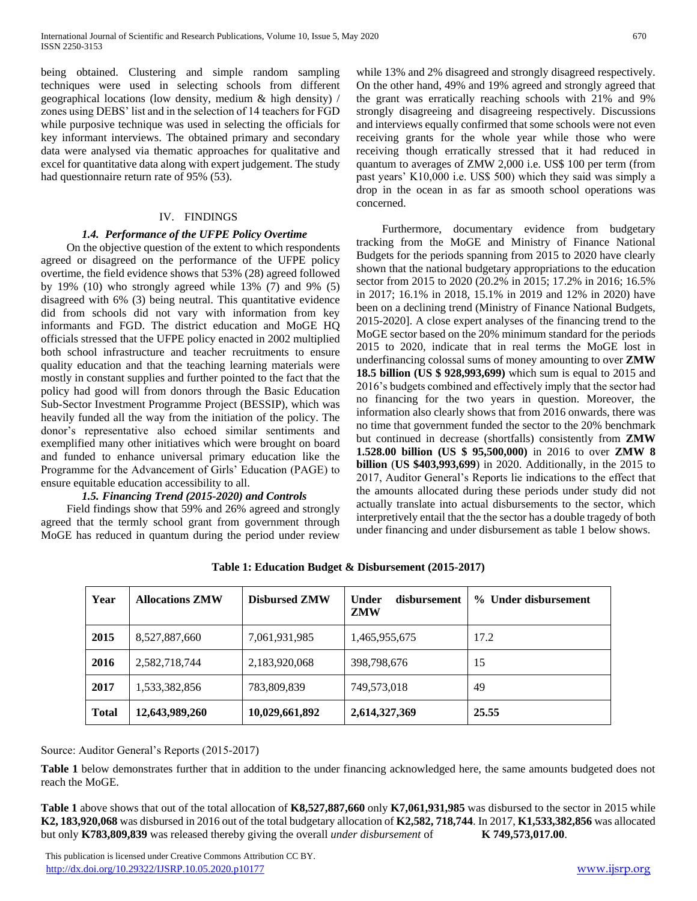being obtained. Clustering and simple random sampling techniques were used in selecting schools from different geographical locations (low density, medium & high density) / zones using DEBS' list and in the selection of 14 teachers for FGD while purposive technique was used in selecting the officials for key informant interviews. The obtained primary and secondary data were analysed via thematic approaches for qualitative and excel for quantitative data along with expert judgement. The study had questionnaire return rate of 95% (53).

# IV. FINDINGS

# *1.4. Performance of the UFPE Policy Overtime*

 On the objective question of the extent to which respondents agreed or disagreed on the performance of the UFPE policy overtime, the field evidence shows that 53% (28) agreed followed by 19% (10) who strongly agreed while 13% (7) and 9% (5) disagreed with 6% (3) being neutral. This quantitative evidence did from schools did not vary with information from key informants and FGD. The district education and MoGE HQ officials stressed that the UFPE policy enacted in 2002 multiplied both school infrastructure and teacher recruitments to ensure quality education and that the teaching learning materials were mostly in constant supplies and further pointed to the fact that the policy had good will from donors through the Basic Education Sub-Sector Investment Programme Project (BESSIP), which was heavily funded all the way from the initiation of the policy. The donor's representative also echoed similar sentiments and exemplified many other initiatives which were brought on board and funded to enhance universal primary education like the Programme for the Advancement of Girls' Education (PAGE) to ensure equitable education accessibility to all.

# *1.5. Financing Trend (2015-2020) and Controls*

 Field findings show that 59% and 26% agreed and strongly agreed that the termly school grant from government through MoGE has reduced in quantum during the period under review while 13% and 2% disagreed and strongly disagreed respectively. On the other hand, 49% and 19% agreed and strongly agreed that the grant was erratically reaching schools with 21% and 9% strongly disagreeing and disagreeing respectively. Discussions and interviews equally confirmed that some schools were not even receiving grants for the whole year while those who were receiving though erratically stressed that it had reduced in quantum to averages of ZMW 2,000 i.e. US\$ 100 per term (from past years' K10,000 i.e. US\$ 500) which they said was simply a drop in the ocean in as far as smooth school operations was concerned.

 Furthermore, documentary evidence from budgetary tracking from the MoGE and Ministry of Finance National Budgets for the periods spanning from 2015 to 2020 have clearly shown that the national budgetary appropriations to the education sector from 2015 to 2020 (20.2% in 2015; 17.2% in 2016; 16.5% in 2017; 16.1% in 2018, 15.1% in 2019 and 12% in 2020) have been on a declining trend (Ministry of Finance National Budgets, 2015-2020]. A close expert analyses of the financing trend to the MoGE sector based on the 20% minimum standard for the periods 2015 to 2020, indicate that in real terms the MoGE lost in underfinancing colossal sums of money amounting to over **ZMW 18.5 billion (US \$ 928,993,699)** which sum is equal to 2015 and 2016's budgets combined and effectively imply that the sector had no financing for the two years in question. Moreover, the information also clearly shows that from 2016 onwards, there was no time that government funded the sector to the 20% benchmark but continued in decrease (shortfalls) consistently from **ZMW 1.528.00 billion (US \$ 95,500,000)** in 2016 to over **ZMW 8 billion** (**US \$403,993,699**) in 2020. Additionally, in the 2015 to 2017, Auditor General's Reports lie indications to the effect that the amounts allocated during these periods under study did not actually translate into actual disbursements to the sector, which interpretively entail that the the sector has a double tragedy of both under financing and under disbursement as table 1 below shows.

| Year         | <b>Allocations ZMW</b> | <b>Disbursed ZMW</b> | disbursement<br>Under<br>ZMW | % Under disbursement |
|--------------|------------------------|----------------------|------------------------------|----------------------|
| 2015         | 8,527,887,660          | 7,061,931,985        | 1,465,955,675                | 17.2                 |
| 2016         | 2,582,718,744          | 2,183,920,068        | 398,798,676                  | 15                   |
| 2017         | 1,533,382,856          | 783,809,839          | 749,573,018                  | 49                   |
| <b>Total</b> | 12,643,989,260         | 10,029,661,892       | 2,614,327,369                | 25.55                |

**Table 1: Education Budget & Disbursement (2015-2017)**

Source: Auditor General's Reports (2015-2017)

**Table 1** below demonstrates further that in addition to the under financing acknowledged here, the same amounts budgeted does not reach the MoGE.

**Table 1** above shows that out of the total allocation of **K8,527,887,660** only **K7,061,931,985** was disbursed to the sector in 2015 while **K2, 183,920,068** was disbursed in 2016 out of the total budgetary allocation of **K2,582, 718,744**. In 2017, **K1,533,382,856** was allocated but only **K783,809,839** was released thereby giving the overall *under disbursement* of **K 749,573,017.00**.

 This publication is licensed under Creative Commons Attribution CC BY. <http://dx.doi.org/10.29322/IJSRP.10.05.2020.p10177> [www.ijsrp.org](http://ijsrp.org/)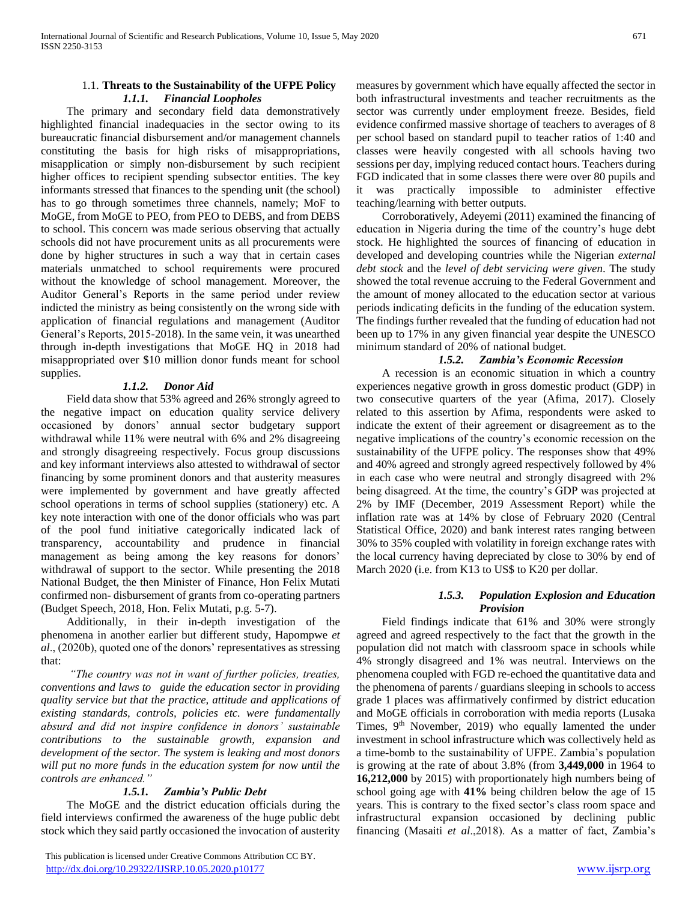#### 1.1. **Threats to the Sustainability of the UFPE Policy** *1.1.1. Financial Loopholes*

 The primary and secondary field data demonstratively highlighted financial inadequacies in the sector owing to its bureaucratic financial disbursement and/or management channels constituting the basis for high risks of misappropriations, misapplication or simply non-disbursement by such recipient higher offices to recipient spending subsector entities. The key informants stressed that finances to the spending unit (the school) has to go through sometimes three channels, namely; MoF to MoGE, from MoGE to PEO, from PEO to DEBS, and from DEBS to school. This concern was made serious observing that actually schools did not have procurement units as all procurements were done by higher structures in such a way that in certain cases materials unmatched to school requirements were procured without the knowledge of school management. Moreover, the Auditor General's Reports in the same period under review indicted the ministry as being consistently on the wrong side with application of financial regulations and management (Auditor General's Reports, 2015-2018). In the same vein, it was unearthed through in-depth investigations that MoGE HQ in 2018 had misappropriated over \$10 million donor funds meant for school supplies.

# *1.1.2. Donor Aid*

 Field data show that 53% agreed and 26% strongly agreed to the negative impact on education quality service delivery occasioned by donors' annual sector budgetary support withdrawal while 11% were neutral with 6% and 2% disagreeing and strongly disagreeing respectively. Focus group discussions and key informant interviews also attested to withdrawal of sector financing by some prominent donors and that austerity measures were implemented by government and have greatly affected school operations in terms of school supplies (stationery) etc. A key note interaction with one of the donor officials who was part of the pool fund initiative categorically indicated lack of transparency, accountability and prudence in financial management as being among the key reasons for donors' withdrawal of support to the sector. While presenting the 2018 National Budget, the then Minister of Finance, Hon Felix Mutati confirmed non- disbursement of grants from co-operating partners (Budget Speech, 2018, Hon. Felix Mutati, p.g. 5-7).

 Additionally, in their in-depth investigation of the phenomena in another earlier but different study, Hapompwe *et al*., (2020b), quoted one of the donors' representatives as stressing that:

 *"The country was not in want of further policies, treaties, conventions and laws to guide the education sector in providing quality service but that the practice, attitude and applications of existing standards, controls, policies etc. were fundamentally absurd and did not inspire confidence in donors' sustainable contributions to the sustainable growth, expansion and development of the sector. The system is leaking and most donors will put no more funds in the education system for now until the controls are enhanced."*

# *1.5.1. Zambia's Public Debt*

 The MoGE and the district education officials during the field interviews confirmed the awareness of the huge public debt stock which they said partly occasioned the invocation of austerity

 This publication is licensed under Creative Commons Attribution CC BY. <http://dx.doi.org/10.29322/IJSRP.10.05.2020.p10177> [www.ijsrp.org](http://ijsrp.org/)

measures by government which have equally affected the sector in both infrastructural investments and teacher recruitments as the sector was currently under employment freeze. Besides, field evidence confirmed massive shortage of teachers to averages of 8 per school based on standard pupil to teacher ratios of 1:40 and classes were heavily congested with all schools having two sessions per day, implying reduced contact hours. Teachers during FGD indicated that in some classes there were over 80 pupils and it was practically impossible to administer effective teaching/learning with better outputs.

 Corroboratively, Adeyemi (2011) examined the financing of education in Nigeria during the time of the country's huge debt stock. He highlighted the sources of financing of education in developed and developing countries while the Nigerian *external debt stock* and the *level of debt servicing were given*. The study showed the total revenue accruing to the Federal Government and the amount of money allocated to the education sector at various periods indicating deficits in the funding of the education system. The findings further revealed that the funding of education had not been up to 17% in any given financial year despite the UNESCO minimum standard of 20% of national budget.

#### *1.5.2. Zambia's Economic Recession*

 A recession is an economic situation in which a country experiences negative growth in gross domestic product (GDP) in two consecutive quarters of the year (Afima, 2017). Closely related to this assertion by Afima, respondents were asked to indicate the extent of their agreement or disagreement as to the negative implications of the country's economic recession on the sustainability of the UFPE policy. The responses show that 49% and 40% agreed and strongly agreed respectively followed by 4% in each case who were neutral and strongly disagreed with 2% being disagreed. At the time, the country's GDP was projected at 2% by IMF (December, 2019 Assessment Report) while the inflation rate was at 14% by close of February 2020 (Central Statistical Office, 2020) and bank interest rates ranging between 30% to 35% coupled with volatility in foreign exchange rates with the local currency having depreciated by close to 30% by end of March 2020 (i.e. from K13 to US\$ to K20 per dollar.

#### *1.5.3. Population Explosion and Education Provision*

 Field findings indicate that 61% and 30% were strongly agreed and agreed respectively to the fact that the growth in the population did not match with classroom space in schools while 4% strongly disagreed and 1% was neutral. Interviews on the phenomena coupled with FGD re-echoed the quantitative data and the phenomena of parents / guardians sleeping in schools to access grade 1 places was affirmatively confirmed by district education and MoGE officials in corroboration with media reports (Lusaka Times, 9<sup>th</sup> November, 2019) who equally lamented the under investment in school infrastructure which was collectively held as a time-bomb to the sustainability of UFPE. Zambia's population is growing at the rate of about 3.8% (from **3,449,000** in 1964 to **16,212,000** by 2015) with proportionately high numbers being of school going age with **41%** being children below the age of 15 years. This is contrary to the fixed sector's class room space and infrastructural expansion occasioned by declining public financing (Masaiti *et al*.,2018). As a matter of fact, Zambia's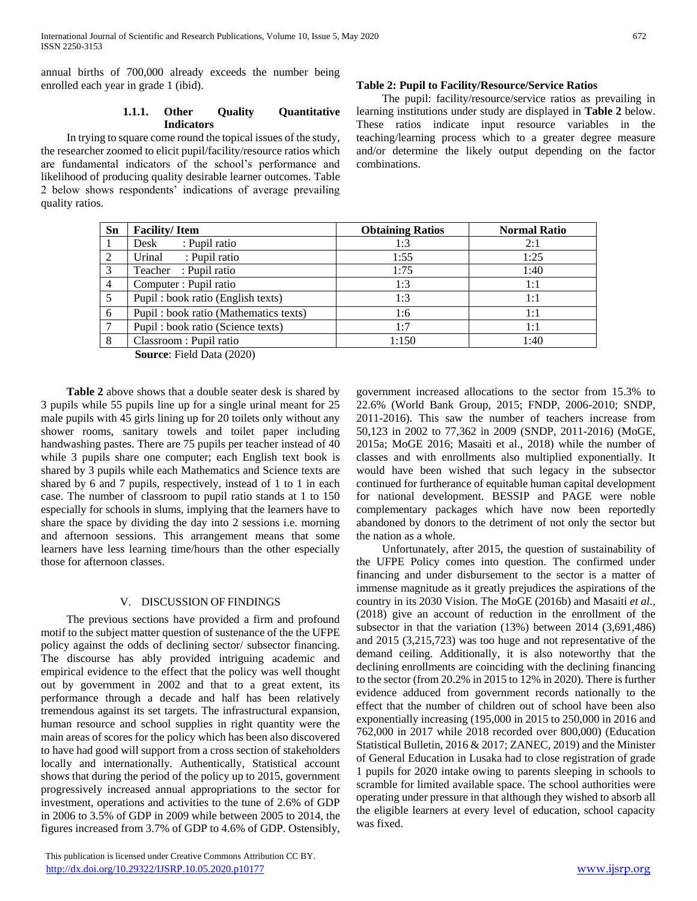annual births of 700,000 already exceeds the number being enrolled each year in grade 1 (ibid).

## **1.1.1. Other Quality Quantitative Indicators**

 In trying to square come round the topical issues of the study, the researcher zoomed to elicit pupil/facility/resource ratios which are fundamental indicators of the school's performance and likelihood of producing quality desirable learner outcomes. Table 2 below shows respondents' indications of average prevailing quality ratios.

#### **Table 2: Pupil to Facility/Resource/Service Ratios**

 The pupil: facility/resource/service ratios as prevailing in learning institutions under study are displayed in **Table 2** below. These ratios indicate input resource variables in the teaching/learning process which to a greater degree measure and/or determine the likely output depending on the factor combinations.

| <b>Facility/Item</b>                  | <b>Obtaining Ratios</b> | <b>Normal Ratio</b> |
|---------------------------------------|-------------------------|---------------------|
| : Pupil ratio<br>Desk                 | 1:3                     | 2:1                 |
| Urinal<br>: Pupil ratio               | 1:55                    | 1:25                |
| Teacher : Pupil ratio                 | 1:75                    | 1:40                |
| Computer : Pupil ratio                | 1:3                     | 1:1                 |
| Pupil: book ratio (English texts)     | 1:3                     | 1:1                 |
| Pupil: book ratio (Mathematics texts) | 1:6                     | 1:1                 |
| Pupil: book ratio (Science texts)     | 1:7                     | 1:1                 |
| Classroom : Pupil ratio               | 1:150                   | 1:40                |
|                                       |                         |                     |

**Source**: Field Data (2020)

 **Table 2** above shows that a double seater desk is shared by 3 pupils while 55 pupils line up for a single urinal meant for 25 male pupils with 45 girls lining up for 20 toilets only without any shower rooms, sanitary towels and toilet paper including handwashing pastes. There are 75 pupils per teacher instead of 40 while 3 pupils share one computer; each English text book is shared by 3 pupils while each Mathematics and Science texts are shared by 6 and 7 pupils, respectively, instead of 1 to 1 in each case. The number of classroom to pupil ratio stands at 1 to 150 especially for schools in slums, implying that the learners have to share the space by dividing the day into 2 sessions i.e. morning and afternoon sessions. This arrangement means that some learners have less learning time/hours than the other especially those for afternoon classes.

#### V. DISCUSSION OF FINDINGS

 The previous sections have provided a firm and profound motif to the subject matter question of sustenance of the the UFPE policy against the odds of declining sector/ subsector financing. The discourse has ably provided intriguing academic and empirical evidence to the effect that the policy was well thought out by government in 2002 and that to a great extent, its performance through a decade and half has been relatively tremendous against its set targets. The infrastructural expansion, human resource and school supplies in right quantity were the main areas of scores for the policy which has been also discovered to have had good will support from a cross section of stakeholders locally and internationally. Authentically, Statistical account shows that during the period of the policy up to 2015, government progressively increased annual appropriations to the sector for investment, operations and activities to the tune of 2.6% of GDP in 2006 to 3.5% of GDP in 2009 while between 2005 to 2014, the figures increased from 3.7% of GDP to 4.6% of GDP. Ostensibly,

 This publication is licensed under Creative Commons Attribution CC BY. <http://dx.doi.org/10.29322/IJSRP.10.05.2020.p10177> [www.ijsrp.org](http://ijsrp.org/)

government increased allocations to the sector from 15.3% to 22.6% (World Bank Group, 2015; FNDP, 2006-2010; SNDP, 2011-2016). This saw the number of teachers increase from 50,123 in 2002 to 77,362 in 2009 (SNDP, 2011-2016) (MoGE, 2015a; MoGE 2016; Masaiti et al., 2018) while the number of classes and with enrollments also multiplied exponentially. It would have been wished that such legacy in the subsector continued for furtherance of equitable human capital development for national development. BESSIP and PAGE were noble complementary packages which have now been reportedly abandoned by donors to the detriment of not only the sector but the nation as a whole.

 Unfortunately, after 2015, the question of sustainability of the UFPE Policy comes into question. The confirmed under financing and under disbursement to the sector is a matter of immense magnitude as it greatly prejudices the aspirations of the country in its 2030 Vision. The MoGE (2016b) and Masaiti *et al*., (2018) give an account of reduction in the enrollment of the subsector in that the variation (13%) between 2014 (3,691,486) and 2015 (3,215,723) was too huge and not representative of the demand ceiling. Additionally, it is also noteworthy that the declining enrollments are coinciding with the declining financing to the sector (from 20.2% in 2015 to 12% in 2020). There is further evidence adduced from government records nationally to the effect that the number of children out of school have been also exponentially increasing (195,000 in 2015 to 250,000 in 2016 and 762,000 in 2017 while 2018 recorded over 800,000) (Education Statistical Bulletin, 2016 & 2017; ZANEC, 2019) and the Minister of General Education in Lusaka had to close registration of grade 1 pupils for 2020 intake owing to parents sleeping in schools to scramble for limited available space. The school authorities were operating under pressure in that although they wished to absorb all the eligible learners at every level of education, school capacity was fixed.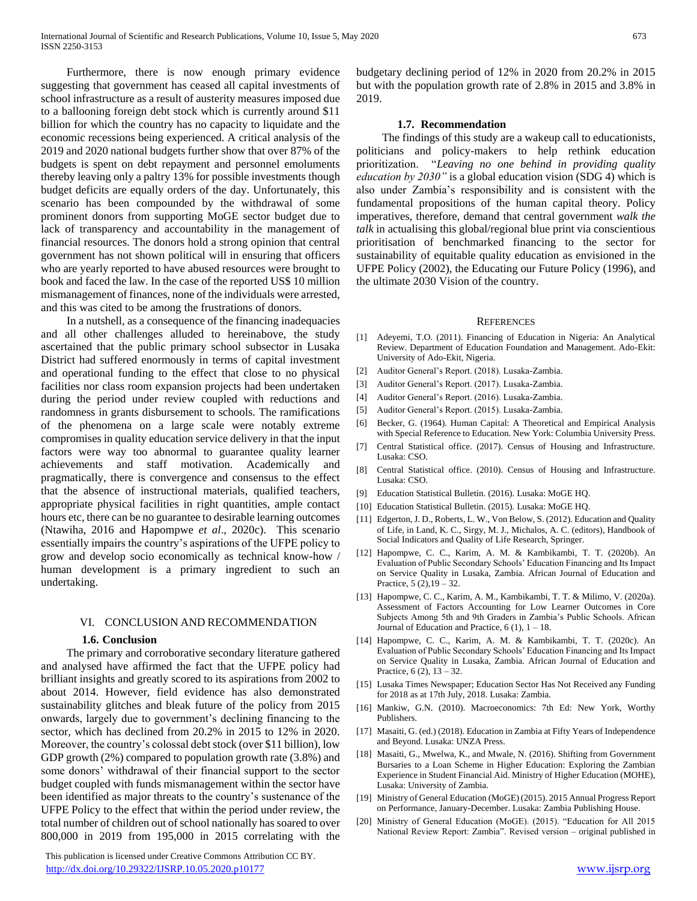Furthermore, there is now enough primary evidence suggesting that government has ceased all capital investments of school infrastructure as a result of austerity measures imposed due to a ballooning foreign debt stock which is currently around \$11 billion for which the country has no capacity to liquidate and the economic recessions being experienced. A critical analysis of the 2019 and 2020 national budgets further show that over 87% of the budgets is spent on debt repayment and personnel emoluments thereby leaving only a paltry 13% for possible investments though budget deficits are equally orders of the day. Unfortunately, this scenario has been compounded by the withdrawal of some prominent donors from supporting MoGE sector budget due to lack of transparency and accountability in the management of financial resources. The donors hold a strong opinion that central government has not shown political will in ensuring that officers who are yearly reported to have abused resources were brought to book and faced the law. In the case of the reported US\$ 10 million mismanagement of finances, none of the individuals were arrested, and this was cited to be among the frustrations of donors.

 In a nutshell, as a consequence of the financing inadequacies and all other challenges alluded to hereinabove, the study ascertained that the public primary school subsector in Lusaka District had suffered enormously in terms of capital investment and operational funding to the effect that close to no physical facilities nor class room expansion projects had been undertaken during the period under review coupled with reductions and randomness in grants disbursement to schools. The ramifications of the phenomena on a large scale were notably extreme compromises in quality education service delivery in that the input factors were way too abnormal to guarantee quality learner achievements and staff motivation. Academically and pragmatically, there is convergence and consensus to the effect that the absence of instructional materials, qualified teachers, appropriate physical facilities in right quantities, ample contact hours etc, there can be no guarantee to desirable learning outcomes (Ntawiha, 2016 and Hapompwe *et al*., 2020c). This scenario essentially impairs the country's aspirations of the UFPE policy to grow and develop socio economically as technical know-how / human development is a primary ingredient to such an undertaking.

#### VI. CONCLUSION AND RECOMMENDATION

#### **1.6. Conclusion**

 The primary and corroborative secondary literature gathered and analysed have affirmed the fact that the UFPE policy had brilliant insights and greatly scored to its aspirations from 2002 to about 2014. However, field evidence has also demonstrated sustainability glitches and bleak future of the policy from 2015 onwards, largely due to government's declining financing to the sector, which has declined from 20.2% in 2015 to 12% in 2020. Moreover, the country's colossal debt stock (over \$11 billion), low GDP growth  $(2%)$  compared to population growth rate  $(3.8%)$  and some donors' withdrawal of their financial support to the sector budget coupled with funds mismanagement within the sector have been identified as major threats to the country's sustenance of the UFPE Policy to the effect that within the period under review, the total number of children out of school nationally has soared to over 800,000 in 2019 from 195,000 in 2015 correlating with the

 This publication is licensed under Creative Commons Attribution CC BY. <http://dx.doi.org/10.29322/IJSRP.10.05.2020.p10177> [www.ijsrp.org](http://ijsrp.org/)

budgetary declining period of 12% in 2020 from 20.2% in 2015 but with the population growth rate of 2.8% in 2015 and 3.8% in 2019.

#### **1.7. Recommendation**

 The findings of this study are a wakeup call to educationists, politicians and policy-makers to help rethink education prioritization. "*Leaving no one behind in providing quality education by 2030"* is a global education vision (SDG 4) which is also under Zambia's responsibility and is consistent with the fundamental propositions of the human capital theory. Policy imperatives, therefore, demand that central government *walk the talk* in actualising this global/regional blue print via conscientious prioritisation of benchmarked financing to the sector for sustainability of equitable quality education as envisioned in the UFPE Policy (2002), the Educating our Future Policy (1996), and the ultimate 2030 Vision of the country.

#### **REFERENCES**

- [1] Adeyemi, T.O. (2011). Financing of Education in Nigeria: An Analytical Review. Department of Education Foundation and Management. Ado-Ekit: University of Ado-Ekit, Nigeria.
- [2] Auditor General's Report. (2018). Lusaka-Zambia.
- [3] Auditor General's Report. (2017). Lusaka-Zambia.
- [4] Auditor General's Report. (2016). Lusaka-Zambia.
- [5] Auditor General's Report. (2015). Lusaka-Zambia.
- [6] Becker, G. (1964). Human Capital: A Theoretical and Empirical Analysis with Special Reference to Education. New York: Columbia University Press.
- [7] Central Statistical office. (2017). Census of Housing and Infrastructure. Lusaka: CSO.
- [8] Central Statistical office. (2010). Census of Housing and Infrastructure. Lusaka: CSO.
- [9] Education Statistical Bulletin. (2016). Lusaka: MoGE HQ.
- [10] Education Statistical Bulletin. (2015). Lusaka: MoGE HQ.
- [11] Edgerton, J. D., Roberts, L. W., Von Below, S. (2012). Education and Quality of Life, in Land, K. C., Sirgy, M. J., Michalos, A. C. (editors), Handbook of Social Indicators and Quality of Life Research, Springer.
- [12] Hapompwe, C. C., Karim, A. M. & Kambikambi, T. T. (2020b). An Evaluation of Public Secondary Schools' Education Financing and Its Impact on Service Quality in Lusaka, Zambia. African Journal of Education and Practice,  $5(2)$ ,  $19 - 32$ .
- [13] Hapompwe, C. C., Karim, A. M., Kambikambi, T. T. & Milimo, V. (2020a). Assessment of Factors Accounting for Low Learner Outcomes in Core Subjects Among 5th and 9th Graders in Zambia's Public Schools. African Journal of Education and Practice,  $6(1)$ ,  $1 - 18$ .
- [14] Hapompwe, C. C., Karim, A. M. & Kambikambi, T. T. (2020c). An Evaluation of Public Secondary Schools' Education Financing and Its Impact on Service Quality in Lusaka, Zambia. African Journal of Education and Practice,  $6(2)$ ,  $13 - 32$ .
- [15] Lusaka Times Newspaper; Education Sector Has Not Received any Funding for 2018 as at 17th July, 2018. Lusaka: Zambia.
- [16] Mankiw, G.N. (2010). Macroeconomics: 7th Ed: New York, Worthy Publishers.
- [17] Masaiti, G. (ed.) (2018). Education in Zambia at Fifty Years of Independence and Beyond. Lusaka: UNZA Press.
- [18] Masaiti, G., Mwelwa, K., and Mwale, N. (2016). Shifting from Government Bursaries to a Loan Scheme in Higher Education: Exploring the Zambian Experience in Student Financial Aid. Ministry of Higher Education (MOHE), Lusaka: University of Zambia.
- [19] Ministry of General Education (MoGE) (2015). 2015 Annual Progress Report on Performance, January-December. Lusaka: Zambia Publishing House.
- [20] Ministry of General Education (MoGE). (2015). "Education for All 2015 National Review Report: Zambia". Revised version – original published in